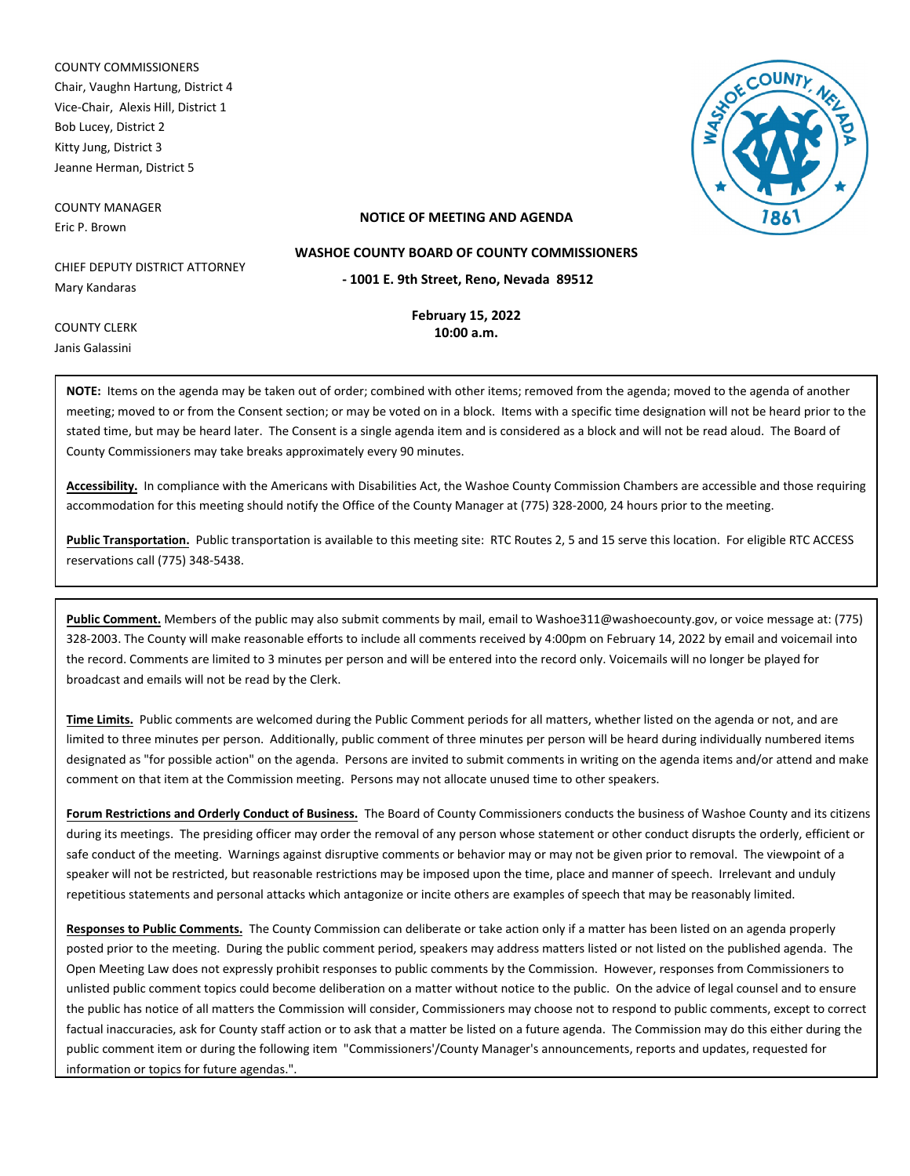COUNTY COMMISSIONERS Chair, Vaughn Hartung, District 4 Vice-Chair, Alexis Hill, District 1 Bob Lucey, District 2 Kitty Jung, District 3 Jeanne Herman, District 5

COUNTY MANAGER Eric P. Brown



## **NOTICE OF MEETING AND AGENDA**

CHIEF DEPUTY DISTRICT ATTORNEY Mary Kandaras

> **February 15, 2022 10:00 a.m.**

**- 1001 E. 9th Street, Reno, Nevada 89512 WASHOE COUNTY BOARD OF COUNTY COMMISSIONERS**

COUNTY CLERK Janis Galassini

**NOTE:** Items on the agenda may be taken out of order; combined with other items; removed from the agenda; moved to the agenda of another meeting; moved to or from the Consent section; or may be voted on in a block. Items with a specific time designation will not be heard prior to the stated time, but may be heard later. The Consent is a single agenda item and is considered as a block and will not be read aloud. The Board of County Commissioners may take breaks approximately every 90 minutes.

**Accessibility.** In compliance with the Americans with Disabilities Act, the Washoe County Commission Chambers are accessible and those requiring accommodation for this meeting should notify the Office of the County Manager at (775) 328-2000, 24 hours prior to the meeting.

**Public Transportation.** Public transportation is available to this meeting site: RTC Routes 2, 5 and 15 serve this location. For eligible RTC ACCESS reservations call (775) 348-5438.

**Public Comment.** Members of the public may also submit comments by mail, email to Washoe311@washoecounty.gov, or voice message at: (775) 328-2003. The County will make reasonable efforts to include all comments received by 4:00pm on February 14, 2022 by email and voicemail into the record. Comments are limited to 3 minutes per person and will be entered into the record only. Voicemails will no longer be played for broadcast and emails will not be read by the Clerk.

**Time Limits.** Public comments are welcomed during the Public Comment periods for all matters, whether listed on the agenda or not, and are limited to three minutes per person. Additionally, public comment of three minutes per person will be heard during individually numbered items designated as "for possible action" on the agenda. Persons are invited to submit comments in writing on the agenda items and/or attend and make comment on that item at the Commission meeting. Persons may not allocate unused time to other speakers.

**Forum Restrictions and Orderly Conduct of Business.** The Board of County Commissioners conducts the business of Washoe County and its citizens during its meetings. The presiding officer may order the removal of any person whose statement or other conduct disrupts the orderly, efficient or safe conduct of the meeting. Warnings against disruptive comments or behavior may or may not be given prior to removal. The viewpoint of a speaker will not be restricted, but reasonable restrictions may be imposed upon the time, place and manner of speech. Irrelevant and unduly repetitious statements and personal attacks which antagonize or incite others are examples of speech that may be reasonably limited.

**Responses to Public Comments.** The County Commission can deliberate or take action only if a matter has been listed on an agenda properly posted prior to the meeting. During the public comment period, speakers may address matters listed or not listed on the published agenda. The Open Meeting Law does not expressly prohibit responses to public comments by the Commission. However, responses from Commissioners to unlisted public comment topics could become deliberation on a matter without notice to the public. On the advice of legal counsel and to ensure the public has notice of all matters the Commission will consider, Commissioners may choose not to respond to public comments, except to correct factual inaccuracies, ask for County staff action or to ask that a matter be listed on a future agenda. The Commission may do this either during the public comment item or during the following item "Commissioners'/County Manager's announcements, reports and updates, requested for information or topics for future agendas.".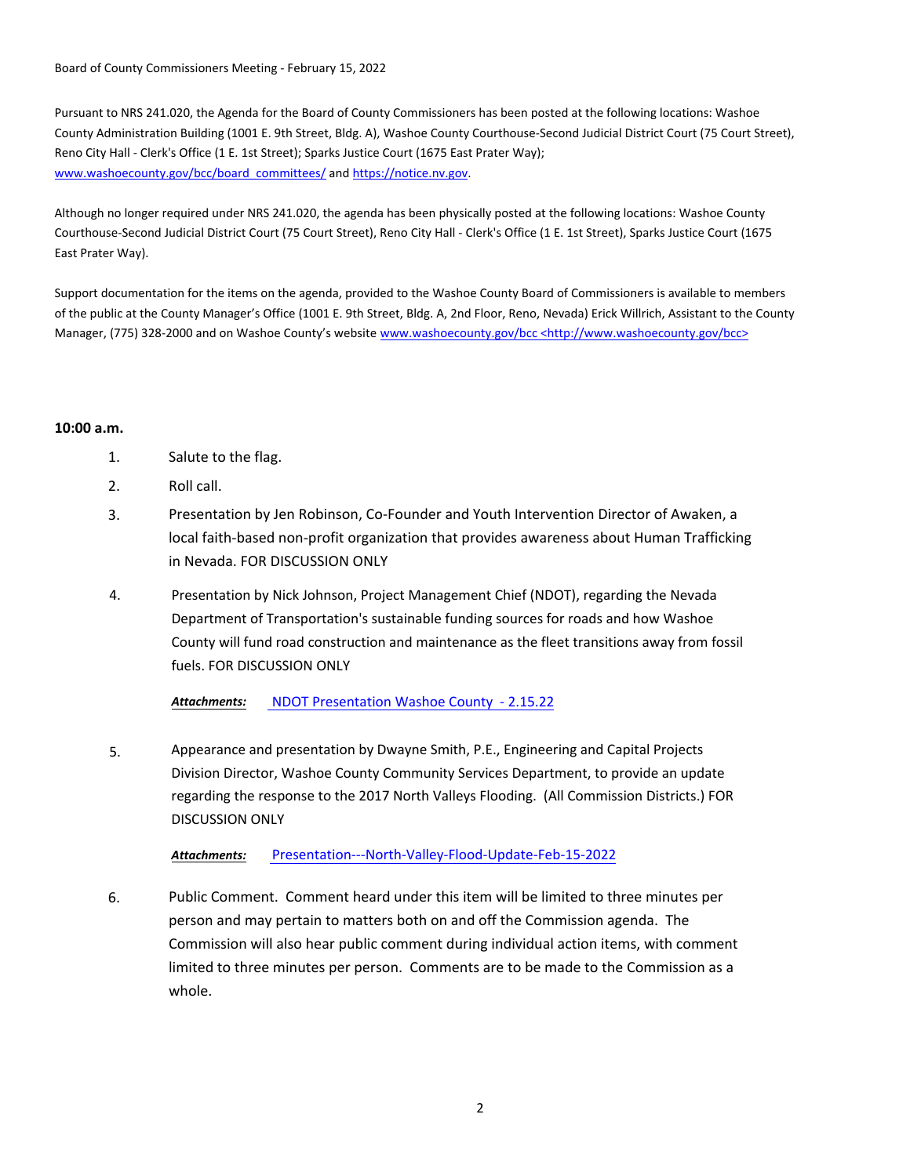Board of County Commissioners Meeting - February 15, 2022

Pursuant to NRS 241.020, the Agenda for the Board of County Commissioners has been posted at the following locations: Washoe County Administration Building (1001 E. 9th Street, Bldg. A), Washoe County Courthouse-Second Judicial District Court (75 Court Street), Reno City Hall - Clerk's Office (1 E. 1st Street); Sparks Justice Court (1675 East Prater Way); www.washoecounty.gov/bcc/board\_committees/ and https://notice.nv.gov.

Although no longer required under NRS 241.020, the agenda has been physically posted at the following locations: Washoe County Courthouse-Second Judicial District Court (75 Court Street), Reno City Hall - Clerk's Office (1 E. 1st Street), Sparks Justice Court (1675 East Prater Way).

Support documentation for the items on the agenda, provided to the Washoe County Board of Commissioners is available to members of the public at the County Manager's Office (1001 E. 9th Street, Bldg. A, 2nd Floor, Reno, Nevada) Erick Willrich, Assistant to the County Manager, (775) 328-2000 and on Washoe County's website www.washoecounty.gov/bcc <http://www.washoecounty.gov/bcc>

## **10:00 a.m.**

- 1. Salute to the flag.
- 2. Roll call.
- 3. Presentation by Jen Robinson, Co-Founder and Youth Intervention Director of Awaken, a local faith-based non-profit organization that provides awareness about Human Trafficking in Nevada. FOR DISCUSSION ONLY
- 4. Presentation by Nick Johnson, Project Management Chief (NDOT), regarding the Nevada Department of Transportation's sustainable funding sources for roads and how Washoe County will fund road construction and maintenance as the fleet transitions away from fossil fuels. FOR DISCUSSION ONLY

*Attachments:* NDOT Pr[esentation Washoe County - 2.15.22](http://washoe-nv.legistar.com/gateway.aspx?M=F&ID=2c74aa72-ec47-4f84-ad49-6843ba5edce5.pdf)

5. Appearance and presentation by Dwayne Smith, P.E., Engineering and Capital Projects Division Director, Washoe County Community Services Department, to provide an update regarding the response to the 2017 North Valleys Flooding. (All Commission Districts.) FOR DISCUSSION ONLY

*Attachments:* Presenta[tion---North-Valley-Flood-Update-Feb-15-2022](http://washoe-nv.legistar.com/gateway.aspx?M=F&ID=1bf39b2a-dd39-42d2-b9b9-53c99867f01a.pdf)

6. Public Comment. Comment heard under this item will be limited to three minutes per person and may pertain to matters both on and off the Commission agenda. The Commission will also hear public comment during individual action items, with comment limited to three minutes per person. Comments are to be made to the Commission as a whole.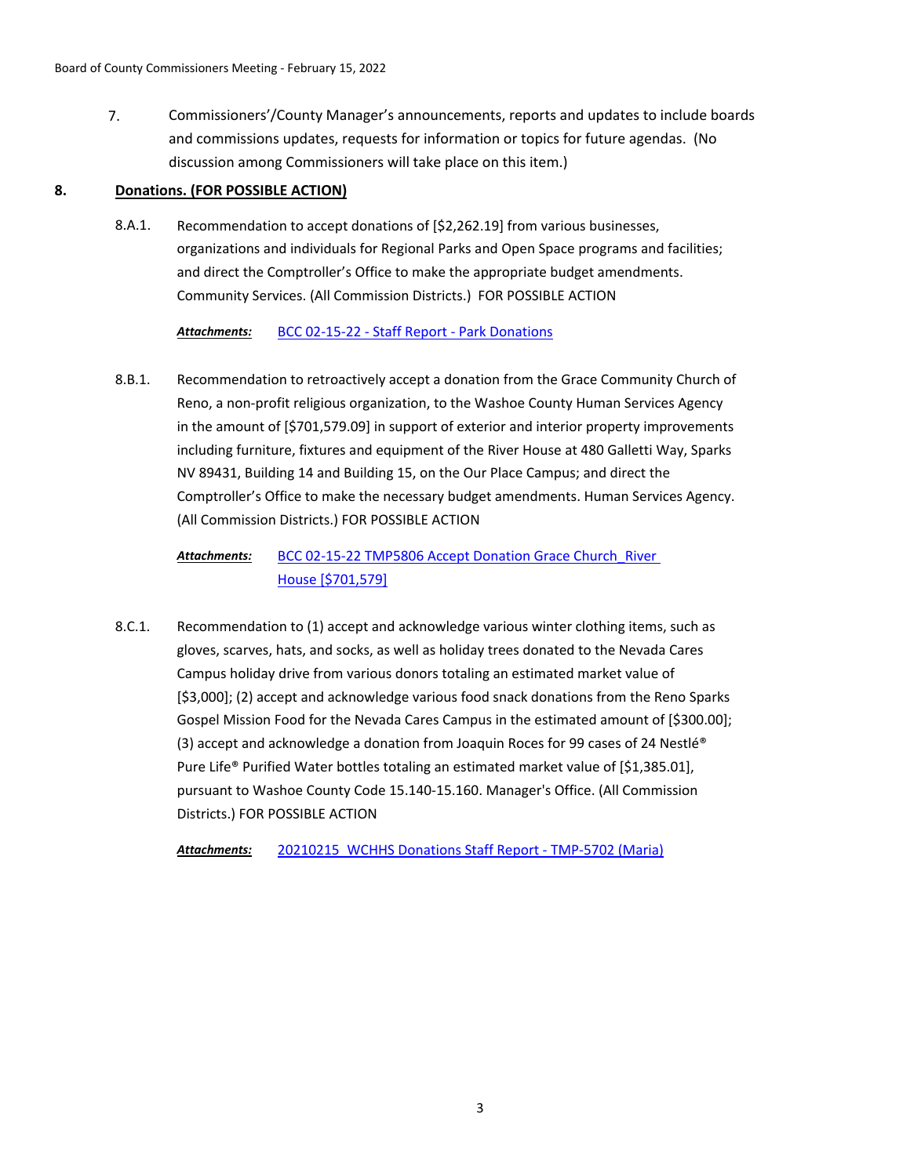7. Commissioners'/County Manager's announcements, reports and updates to include boards and commissions updates, requests for information or topics for future agendas. (No discussion among Commissioners will take place on this item.)

# **8. Donations. (FOR POSSIBLE ACTION)**

Recommendation to accept donations of [\$2,262.19] from various businesses, organizations and individuals for Regional Parks and Open Space programs and facilities; and direct the Comptroller's Office to make the appropriate budget amendments. Community Services. (All Commission Districts.) FOR POSSIBLE ACTION 8.A.1.

# *Attachments:* [BCC 02-15-22 - Staff Report - Park Donations](http://washoe-nv.legistar.com/gateway.aspx?M=F&ID=658c2112-02bb-40b2-b018-fd088e53893b.doc)

Recommendation to retroactively accept a donation from the Grace Community Church of Reno, a non-profit religious organization, to the Washoe County Human Services Agency in the amount of [\$701,579.09] in support of exterior and interior property improvements including furniture, fixtures and equipment of the River House at 480 Galletti Way, Sparks NV 89431, Building 14 and Building 15, on the Our Place Campus; and direct the Comptroller's Office to make the necessary budget amendments. Human Services Agency. (All Commission Districts.) FOR POSSIBLE ACTION 8.B.1.

#### BCC 02-15-22 TMP5806 Accept Donation Grace Church\_River House [\$701,579] *Attachments:*

Recommendation to (1) accept and acknowledge various winter clothing items, such as gloves, scarves, hats, and socks, as well as holiday trees donated to the Nevada Cares Campus holiday drive from various donors totaling an estimated market value of [\$3,000]; (2) accept and acknowledge various food snack donations from the Reno Sparks Gospel Mission Food for the Nevada Cares Campus in the estimated amount of [\$300.00]; (3) accept and acknowledge a donation from Joaquin Roces for 99 cases of 24 Nestlé® Pure Life® Purified Water bottles totaling an estimated market value of [\$1,385.01], pursuant to Washoe County Code 15.140-15.160. Manager's Office. (All Commission Districts.) FOR POSSIBLE ACTION 8.C.1.

*Attachments:* [20210215\\_WCHHS Donations Staff Report - TMP-5702 \(Maria\)](http://washoe-nv.legistar.com/gateway.aspx?M=F&ID=94b8360f-8b57-4cab-b264-3b20415cdf5b.docx)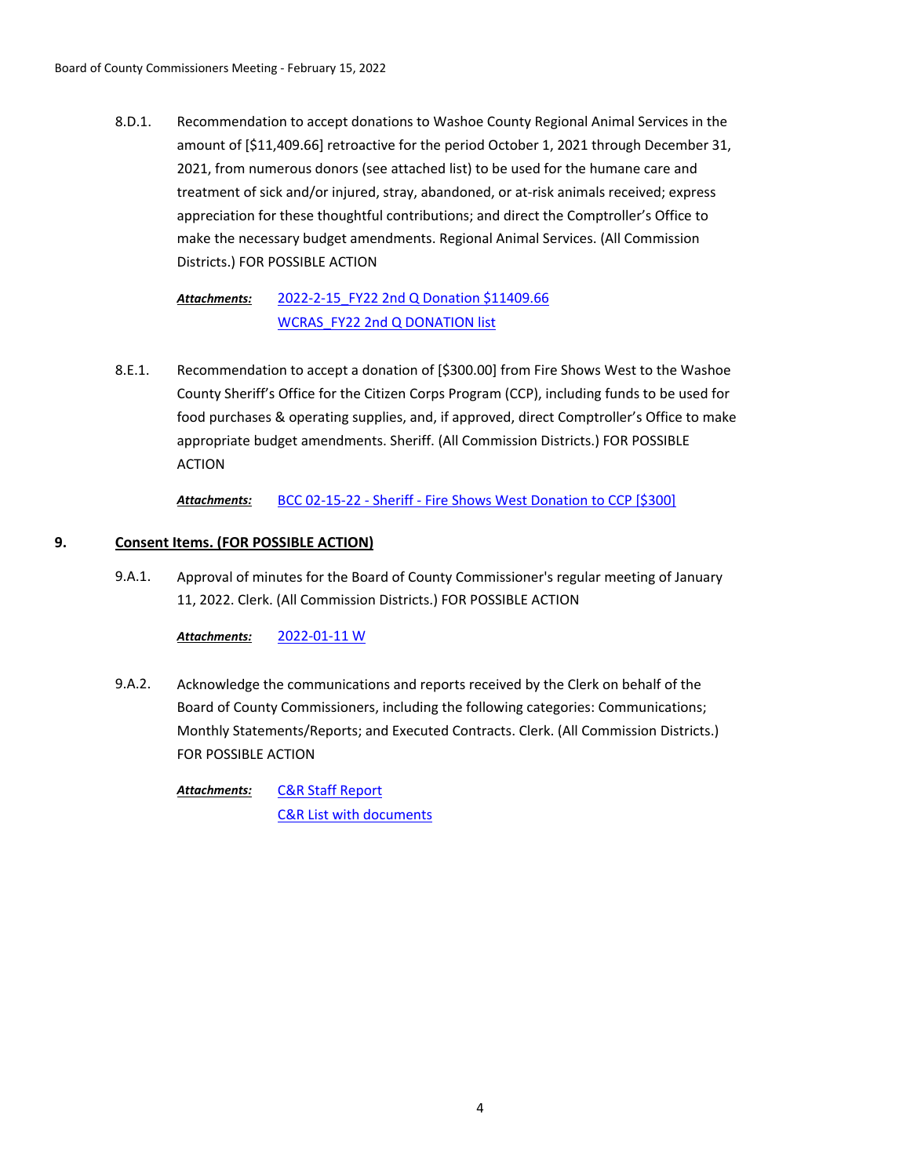Recommendation to accept donations to Washoe County Regional Animal Services in the amount of [\$11,409.66] retroactive for the period October 1, 2021 through December 31, 2021, from numerous donors (see attached list) to be used for the humane care and treatment of sick and/or injured, stray, abandoned, or at-risk animals received; express appreciation for these thoughtful contributions; and direct the Comptroller's Office to make the necessary budget amendments. Regional Animal Services. (All Commission Districts.) FOR POSSIBLE ACTION 8.D.1.

#### [2022-2-15\\_FY22 2nd Q Donation \\$11409.66](http://washoe-nv.legistar.com/gateway.aspx?M=F&ID=f5925825-c102-4e0a-867d-1b12a4547306.docx) [WCRAS\\_FY22 2nd Q DONATION list](http://washoe-nv.legistar.com/gateway.aspx?M=F&ID=c869e2d6-d7df-49d5-b627-e77fb8887005.pdf) *Attachments:*

Recommendation to accept a donation of [\$300.00] from Fire Shows West to the Washoe County Sheriff's Office for the Citizen Corps Program (CCP), including funds to be used for food purchases & operating supplies, and, if approved, direct Comptroller's Office to make appropriate budget amendments. Sheriff. (All Commission Districts.) FOR POSSIBLE ACTION 8.E.1.

*Attachments:* [BCC 02-15-22 - Sheriff - Fire Shows West Donation to CCP \[\\$300\]](http://washoe-nv.legistar.com/gateway.aspx?M=F&ID=4e46e781-4218-4e9d-9585-180a50087ff4.docx)

# **9. Consent Items. (FOR POSSIBLE ACTION)**

Approval of minutes for the Board of County Commissioner's regular meeting of January 11, 2022. Clerk. (All Commission Districts.) FOR POSSIBLE ACTION 9.A.1.

*Attachments:* [2022-01-11 W](http://washoe-nv.legistar.com/gateway.aspx?M=F&ID=9ec3bf4f-6b91-439e-910e-94324174651e.pdf)

Acknowledge the communications and reports received by the Clerk on behalf of the Board of County Commissioners, including the following categories: Communications; Monthly Statements/Reports; and Executed Contracts. Clerk. (All Commission Districts.) FOR POSSIBLE ACTION 9.A.2.

> [C&R Staff Report](http://washoe-nv.legistar.com/gateway.aspx?M=F&ID=54cdeb3f-2d37-4e0b-b78e-1e6215f51c85.pdf) [C&R List with documents](http://washoe-nv.legistar.com/gateway.aspx?M=F&ID=eda1faed-7c8d-4d4d-bcf7-730fe3d87182.pdf) *Attachments:*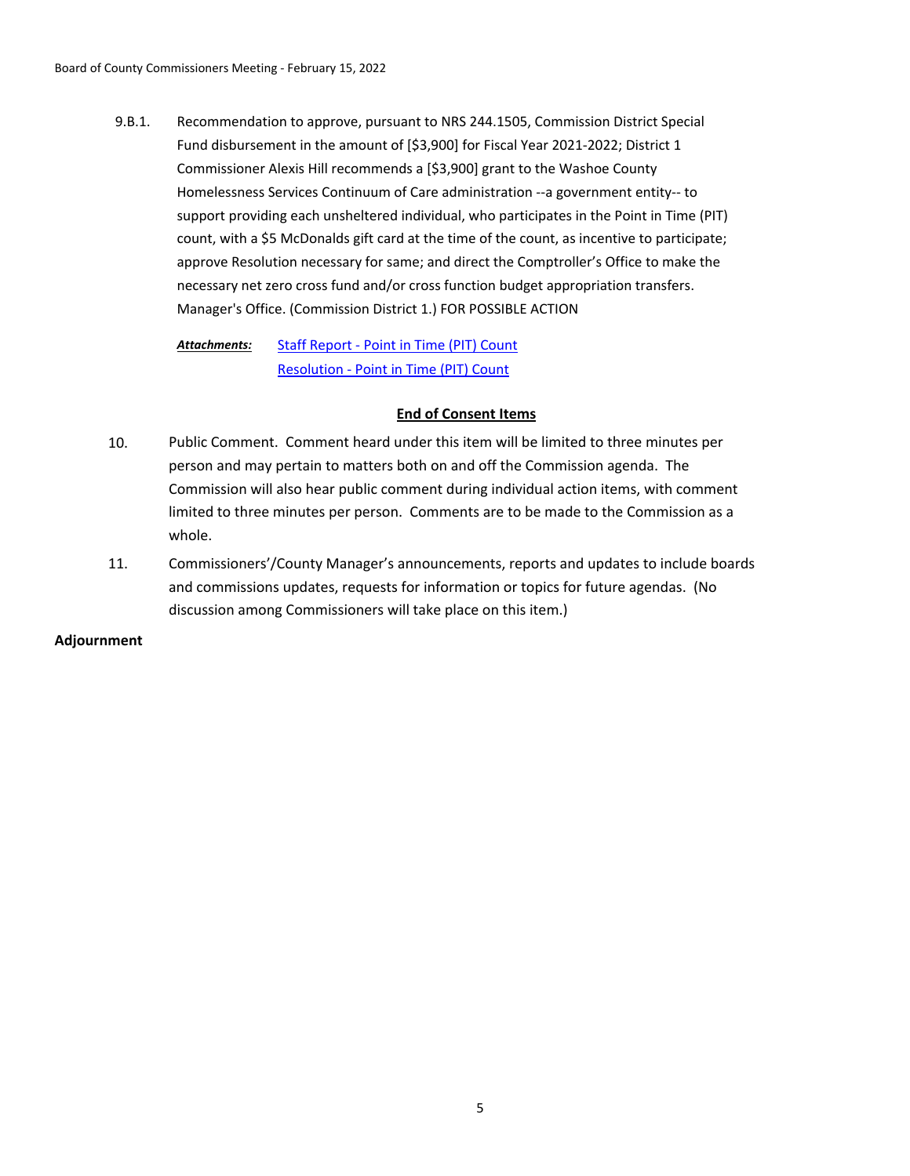Recommendation to approve, pursuant to NRS 244.1505, Commission District Special Fund disbursement in the amount of [\$3,900] for Fiscal Year 2021-2022; District 1 Commissioner Alexis Hill recommends a [\$3,900] grant to the Washoe County Homelessness Services Continuum of Care administration --a government entity-- to support providing each unsheltered individual, who participates in the Point in Time (PIT) count, with a \$5 McDonalds gift card at the time of the count, as incentive to participate; approve Resolution necessary for same; and direct the Comptroller's Office to make the necessary net zero cross fund and/or cross function budget appropriation transfers. Manager's Office. (Commission District 1.) FOR POSSIBLE ACTION 9.B.1.

[Staff Report - Point in Time \(PIT\) Count](http://washoe-nv.legistar.com/gateway.aspx?M=F&ID=0ebd3bd4-d10f-4072-b0bf-c49c3ea6ebe7.pdf) [Resolution - Point in Time \(PIT\) Count](http://washoe-nv.legistar.com/gateway.aspx?M=F&ID=7ea1ce91-1a9f-412a-93d8-18010969bcf6.pdf) *Attachments:*

## **End of Consent Items**

- 10. Public Comment. Comment heard under this item will be limited to three minutes per person and may pertain to matters both on and off the Commission agenda. The Commission will also hear public comment during individual action items, with comment limited to three minutes per person. Comments are to be made to the Commission as a whole.
- 11. Commissioners'/County Manager's announcements, reports and updates to include boards and commissions updates, requests for information or topics for future agendas. (No discussion among Commissioners will take place on this item.)

## **Adjournment**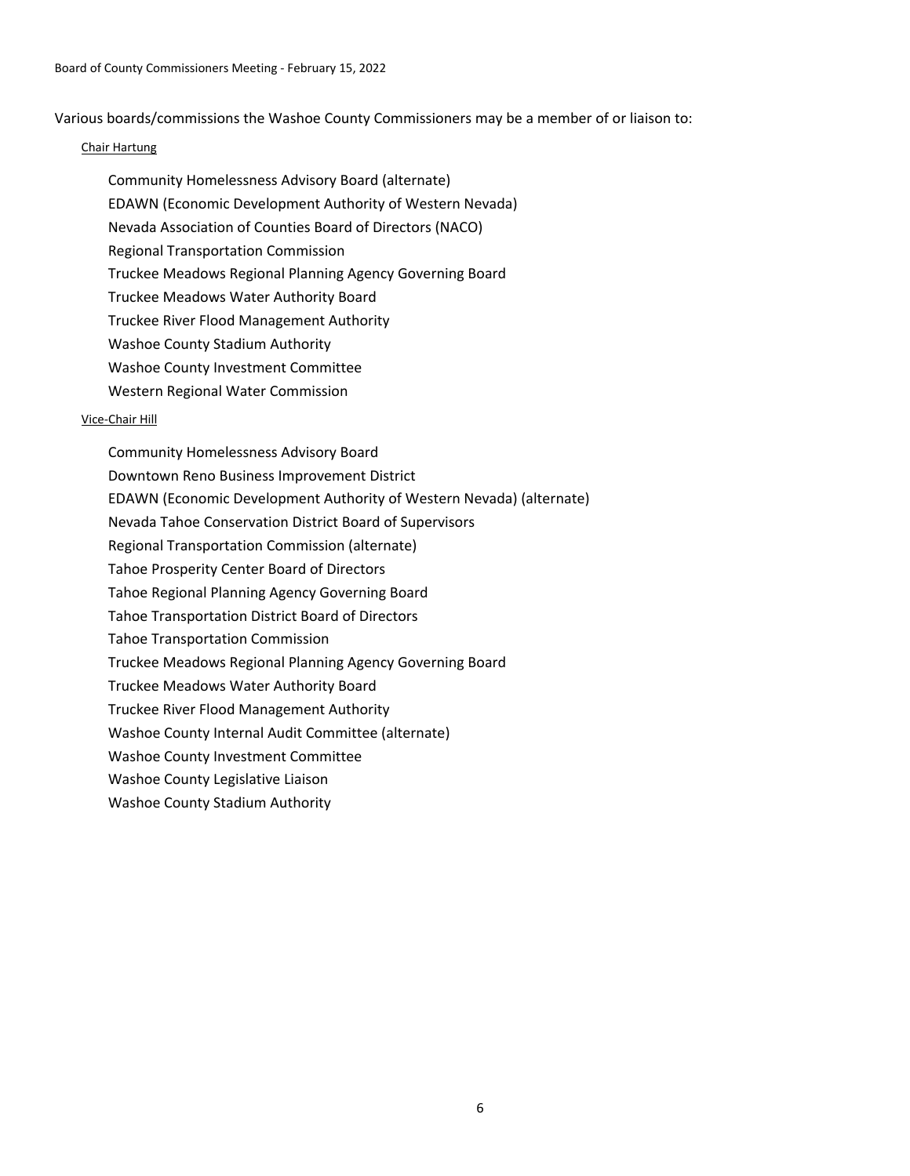Various boards/commissions the Washoe County Commissioners may be a member of or liaison to:

## Chair Hartung

Community Homelessness Advisory Board (alternate) EDAWN (Economic Development Authority of Western Nevada) Nevada Association of Counties Board of Directors (NACO) Regional Transportation Commission Truckee Meadows Regional Planning Agency Governing Board Truckee Meadows Water Authority Board Truckee River Flood Management Authority Washoe County Stadium Authority Washoe County Investment Committee Western Regional Water Commission

### Vice-Chair Hill

Community Homelessness Advisory Board Downtown Reno Business Improvement District EDAWN (Economic Development Authority of Western Nevada) (alternate) Nevada Tahoe Conservation District Board of Supervisors Regional Transportation Commission (alternate) Tahoe Prosperity Center Board of Directors Tahoe Regional Planning Agency Governing Board Tahoe Transportation District Board of Directors Tahoe Transportation Commission Truckee Meadows Regional Planning Agency Governing Board Truckee Meadows Water Authority Board Truckee River Flood Management Authority Washoe County Internal Audit Committee (alternate) Washoe County Investment Committee Washoe County Legislative Liaison Washoe County Stadium Authority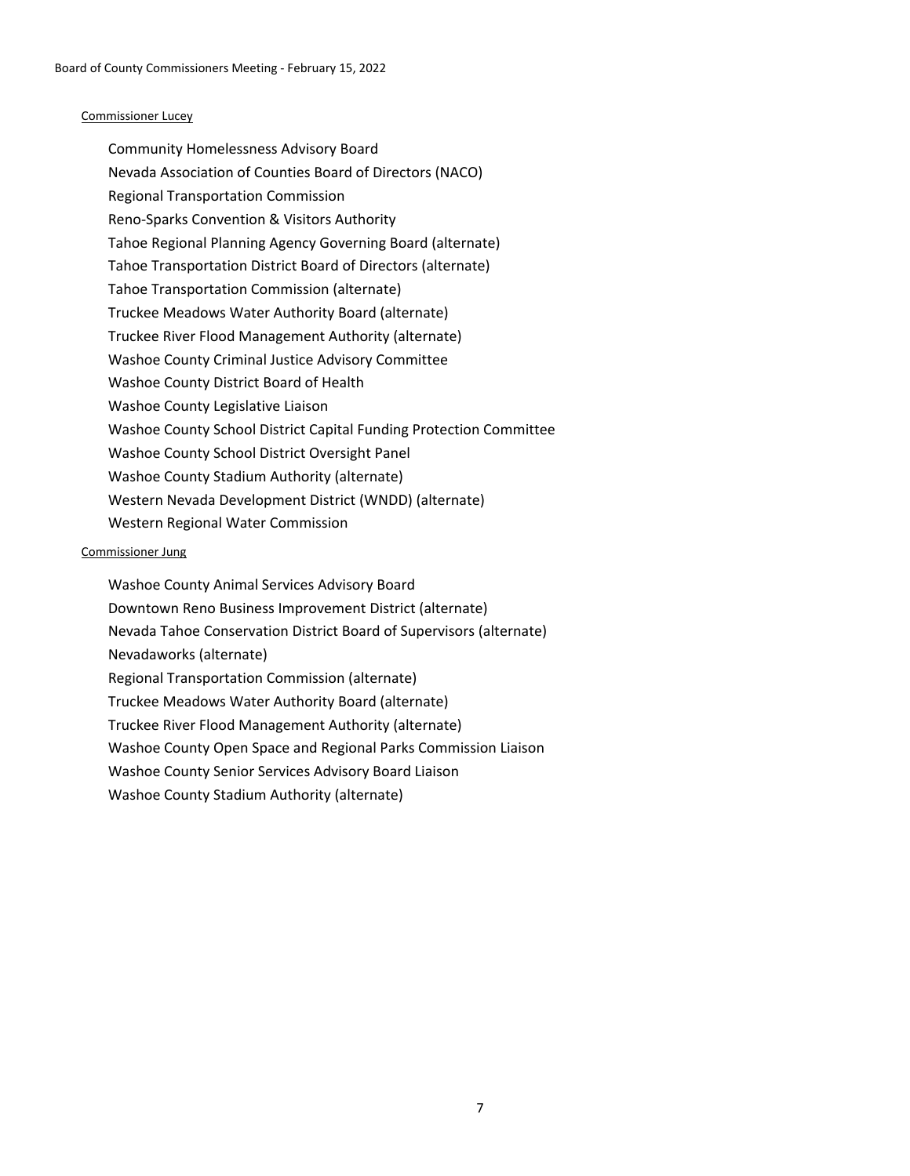## Commissioner Lucey

Community Homelessness Advisory Board Nevada Association of Counties Board of Directors (NACO) Regional Transportation Commission Reno-Sparks Convention & Visitors Authority Tahoe Regional Planning Agency Governing Board (alternate) Tahoe Transportation District Board of Directors (alternate) Tahoe Transportation Commission (alternate) Truckee Meadows Water Authority Board (alternate) Truckee River Flood Management Authority (alternate) Washoe County Criminal Justice Advisory Committee Washoe County District Board of Health Washoe County Legislative Liaison Washoe County School District Capital Funding Protection Committee Washoe County School District Oversight Panel Washoe County Stadium Authority (alternate) Western Nevada Development District (WNDD) (alternate) Western Regional Water Commission

### Commissioner Jung

Washoe County Animal Services Advisory Board Downtown Reno Business Improvement District (alternate) Nevada Tahoe Conservation District Board of Supervisors (alternate) Nevadaworks (alternate) Regional Transportation Commission (alternate) Truckee Meadows Water Authority Board (alternate) Truckee River Flood Management Authority (alternate) Washoe County Open Space and Regional Parks Commission Liaison Washoe County Senior Services Advisory Board Liaison Washoe County Stadium Authority (alternate)